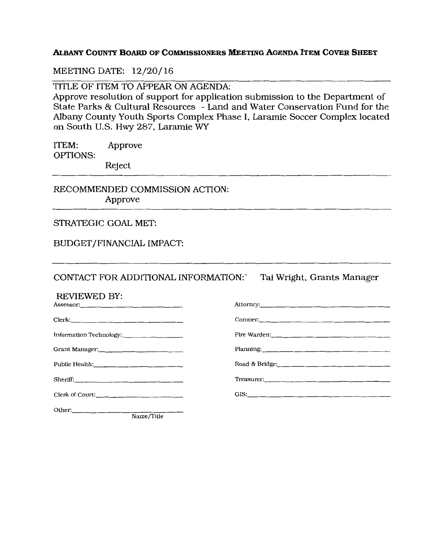# **ALBANY COUNTY BOARD OF COMMISSIONERS MEETING AGENDA ITEM COVER SHEET**

## MEETING DATE: 12/20/16

TITLE OF ITEM TO APPEAR ON AGENDA:

Approve resolution of support for application submission to the Department of State Parks & Cultural Resources -Land and Water Conservation Fund for the Albany County Youth Sports Complex Phase I, Laramie Soccer Complex located on South U.S. Hwy 287, Laramie WY

ITEM: Approve OPTIONS: Reject

RECOMMENDED COMMISSION ACTION: Approve

# STRATEGIC GOAL MET:

# BUDGET /FINANCIAL IMPACT:

CONTACT FOR ADDITIONAL INFORMATION: Tai Wright, Grants Manager

| <b>REVIEWED BY:</b>                                    |                                                                                                                                                                                                                                                                                                                                                                                           |
|--------------------------------------------------------|-------------------------------------------------------------------------------------------------------------------------------------------------------------------------------------------------------------------------------------------------------------------------------------------------------------------------------------------------------------------------------------------|
| Clerk:                                                 |                                                                                                                                                                                                                                                                                                                                                                                           |
|                                                        | Fire Warden: 2008 - 2008 - 2008 - 2008 - 2010 - 2010 - 2010 - 2011 - 2012 - 2012 - 2012 - 2012 - 2013                                                                                                                                                                                                                                                                                     |
| Grant Manager:<br><u>_____________________________</u> | Planning: 2008 - 2008 - 2008 - 2009 - 2009 - 2009 - 2009 - 2009 - 2009 - 2009 - 2009 - 2009 - 2009 - 2009 - 20                                                                                                                                                                                                                                                                            |
|                                                        |                                                                                                                                                                                                                                                                                                                                                                                           |
|                                                        | Treasurer: $\frac{1}{\sqrt{1-\frac{1}{2}}\left(\frac{1}{2}-\frac{1}{2}-\frac{1}{2}-\frac{1}{2}-\frac{1}{2}-\frac{1}{2}-\frac{1}{2}-\frac{1}{2}-\frac{1}{2}-\frac{1}{2}-\frac{1}{2}-\frac{1}{2}-\frac{1}{2}-\frac{1}{2}-\frac{1}{2}-\frac{1}{2}-\frac{1}{2}-\frac{1}{2}-\frac{1}{2}-\frac{1}{2}-\frac{1}{2}-\frac{1}{2}-\frac{1}{2}-\frac{1}{2}-\frac{1}{2}-\frac{1}{2}-\frac{1}{2}-\frac$ |
| Clerk of Court: $\frac{1}{\sqrt{2}}$ Clerk of Court:   | GIS: $\qquad \qquad$ $\qquad \qquad$ $\qquad$ $\qquad$ $\qquad \qquad$ $\qquad$ $\qquad$ $\qquad$ $\qquad$ $\qquad$ $\qquad$ $\qquad$ $\qquad$ $\qquad$ $\qquad$ $\qquad$ $\qquad$ $\qquad$ $\qquad$ $\qquad$ $\qquad$ $\qquad$ $\qquad$ $\qquad$ $\qquad$ $\qquad$ $\qquad$ $\qquad$ $\qquad$ $\qquad$ $\qquad$ $\qquad$ $\qquad$ $\qquad$ $\q$                                          |
| Other: $\qquad \qquad$<br>$N_{\rm O}$ $T$ $\rm th$     |                                                                                                                                                                                                                                                                                                                                                                                           |

Name/Title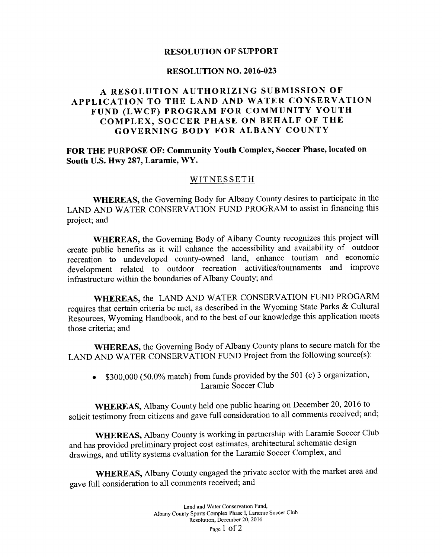# **RESOLUTION OF SUPPORT**

### **RESOLUTION NO. 2016-023**

# **A RESOLUTION AUTHORIZING SUBMISSION OF APPLICATION TO THE LAND AND WATER CONSERVATION FUND (LWCF) PROGRAM FOR COMMUNITY YOUTH COMPLEX, SOCCER PHASE ON BEHALF OF THE GOVERNING BODY FOR ALBANY COUNTY**

# **FOR THE PURPOSE OF: Community Youth Complex, Soccer Phase, located on South** U.S. **Hwy 287, Laramie, WY.**

# WITNESSETH

**WHEREAS,** the Governing Body for Albany County desires to participate in the LAND AND WATER CONSERVATION FUND PROGRAM to assist in financing this project; and

**WHEREAS,** the Governing Body of Albany County recognizes this project will create public benefits as it will enhance the accessibility and availability of outdoor recreation to undeveloped county-owned land, enhance tourism and economic development related to outdoor recreation activities/tournaments and improve infrastructure within the boundaries of Albany County; and

**WHEREAS,** the LAND AND WATER CONSERVATION FUND PROGARM requires that certain criteria be met, as described in the Wyoming State Parks & Cultural Resources, Wyoming Handbook, and to the best of our knowledge this application meets those criteria; and

**WHEREAS,** the Governing Body of Albany County plans to secure match for the LAND AND WATER CONSERVATION FUND Project from the following source(s):

• \$300,000 (50.0% match) from funds provided by the 501 (c) 3 organization, Laramie Soccer Club

**WHEREAS,** Albany County held one public hearing on December 20, 2016 to solicit testimony from citizens and gave full consideration to all comments received; and;

**WHEREAS,** Albany County is working in partnership with Laramie Soccer Club and has provided preliminary project cost estimates, architectural schematic design drawings, and utility systems evaluation for the Laramie Soccer Complex, and

**WHEREAS,** Albany County engaged the private sector with the market area and gave full consideration to all comments received; and